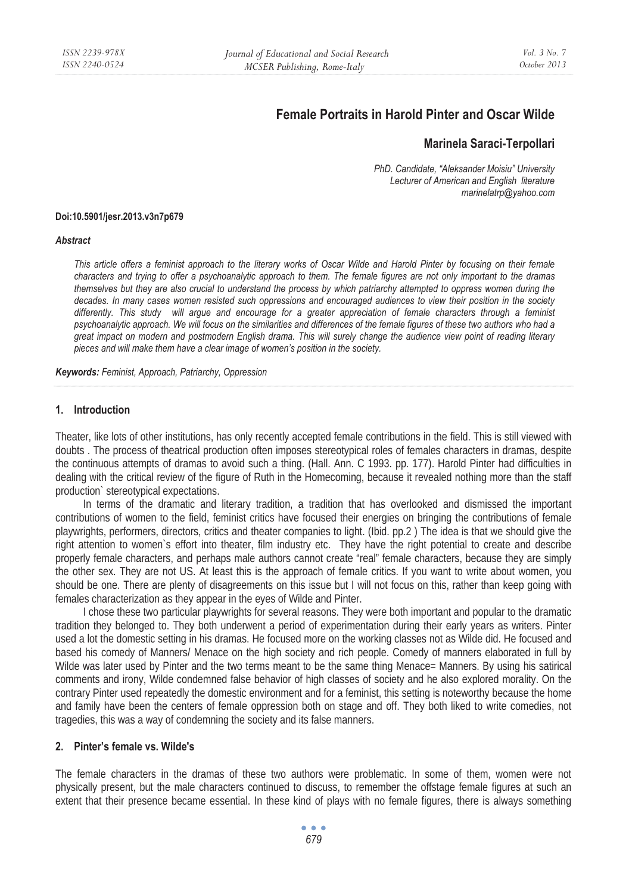# **Female Portraits in Harold Pinter and Oscar Wilde**

## **Marinela Saraci-Terpollari**

*PhD. Candidate, "Aleksander Moisiu" University Lecturer of American and English literature marinelatrp@yahoo.com* 

#### **Doi:10.5901/jesr.2013.v3n7p679**

#### *Abstract*

*This article offers a feminist approach to the literary works of Oscar Wilde and Harold Pinter by focusing on their female characters and trying to offer a psychoanalytic approach to them. The female figures are not only important to the dramas themselves but they are also crucial to understand the process by which patriarchy attempted to oppress women during the decades. In many cases women resisted such oppressions and encouraged audiences to view their position in the society*  differently. This study will argue and encourage for a greater appreciation of female characters through a feminist *psychoanalytic approach. We will focus on the similarities and differences of the female figures of these two authors who had a great impact on modern and postmodern English drama. This will surely change the audience view point of reading literary pieces and will make them have a clear image of women's position in the society.* 

*Keywords: Feminist, Approach, Patriarchy, Oppression* 

## **1. Introduction**

Theater, like lots of other institutions, has only recently accepted female contributions in the field. This is still viewed with doubts . The process of theatrical production often imposes stereotypical roles of females characters in dramas, despite the continuous attempts of dramas to avoid such a thing. (Hall. Ann. C 1993. pp. 177). Harold Pinter had difficulties in dealing with the critical review of the figure of Ruth in the Homecoming, because it revealed nothing more than the staff production` stereotypical expectations.

In terms of the dramatic and literary tradition, a tradition that has overlooked and dismissed the important contributions of women to the field, feminist critics have focused their energies on bringing the contributions of female playwrights, performers, directors, critics and theater companies to light. (Ibid. pp.2 ) The idea is that we should give the right attention to women`s effort into theater, film industry etc. They have the right potential to create and describe properly female characters, and perhaps male authors cannot create "real" female characters, because they are simply the other sex. They are not US. At least this is the approach of female critics. If you want to write about women, you should be one. There are plenty of disagreements on this issue but I will not focus on this, rather than keep going with females characterization as they appear in the eyes of Wilde and Pinter.

I chose these two particular playwrights for several reasons. They were both important and popular to the dramatic tradition they belonged to. They both underwent a period of experimentation during their early years as writers. Pinter used a lot the domestic setting in his dramas. He focused more on the working classes not as Wilde did. He focused and based his comedy of Manners/ Menace on the high society and rich people. Comedy of manners elaborated in full by Wilde was later used by Pinter and the two terms meant to be the same thing Menace= Manners. By using his satirical comments and irony, Wilde condemned false behavior of high classes of society and he also explored morality. On the contrary Pinter used repeatedly the domestic environment and for a feminist, this setting is noteworthy because the home and family have been the centers of female oppression both on stage and off. They both liked to write comedies, not tragedies, this was a way of condemning the society and its false manners.

## **2. Pinter's female vs. Wilde's**

The female characters in the dramas of these two authors were problematic. In some of them, women were not physically present, but the male characters continued to discuss, to remember the offstage female figures at such an extent that their presence became essential. In these kind of plays with no female figures, there is always something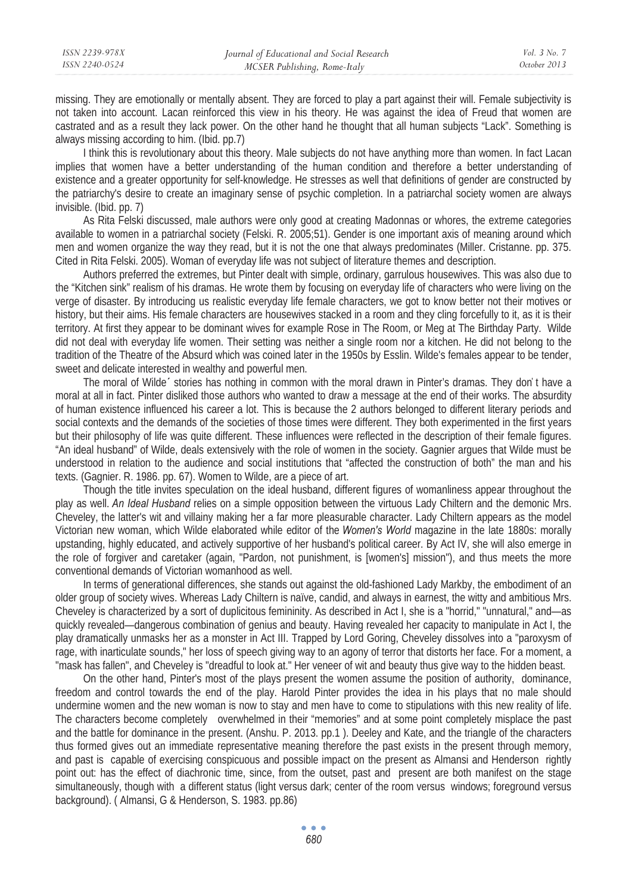| ISSN 2239-978X | Journal of Educational and Social Research | Vol. 3 No. 7 |
|----------------|--------------------------------------------|--------------|
| ISSN 2240-0524 | MCSER Publishing, Rome-Italy               | October 2013 |
|                |                                            |              |

missing. They are emotionally or mentally absent. They are forced to play a part against their will. Female subjectivity is not taken into account. Lacan reinforced this view in his theory. He was against the idea of Freud that women are castrated and as a result they lack power. On the other hand he thought that all human subjects "Lack". Something is always missing according to him. (Ibid. pp.7)

I think this is revolutionary about this theory. Male subjects do not have anything more than women. In fact Lacan implies that women have a better understanding of the human condition and therefore a better understanding of existence and a greater opportunity for self-knowledge. He stresses as well that definitions of gender are constructed by the patriarchy's desire to create an imaginary sense of psychic completion. In a patriarchal society women are always invisible. (Ibid. pp. 7)

As Rita Felski discussed, male authors were only good at creating Madonnas or whores, the extreme categories available to women in a patriarchal society (Felski. R. 2005;51). Gender is one important axis of meaning around which men and women organize the way they read, but it is not the one that always predominates (Miller. Cristanne. pp. 375. Cited in Rita Felski. 2005). Woman of everyday life was not subject of literature themes and description.

Authors preferred the extremes, but Pinter dealt with simple, ordinary, garrulous housewives. This was also due to the "Kitchen sink" realism of his dramas. He wrote them by focusing on everyday life of characters who were living on the verge of disaster. By introducing us realistic everyday life female characters, we got to know better not their motives or history, but their aims. His female characters are housewives stacked in a room and they cling forcefully to it, as it is their territory. At first they appear to be dominant wives for example Rose in The Room, or Meg at The Birthday Party. Wilde did not deal with everyday life women. Their setting was neither a single room nor a kitchen. He did not belong to the tradition of the Theatre of the Absurd which was coined later in the 1950s by Esslin. Wilde's females appear to be tender, sweet and delicate interested in wealthy and powerful men.

The moral of Wilde' stories has nothing in common with the moral drawn in Pinter's dramas. They don't have a moral at all in fact. Pinter disliked those authors who wanted to draw a message at the end of their works. The absurdity of human existence influenced his career a lot. This is because the 2 authors belonged to different literary periods and social contexts and the demands of the societies of those times were different. They both experimented in the first years but their philosophy of life was quite different. These influences were reflected in the description of their female figures. "An ideal husband" of Wilde, deals extensively with the role of women in the society. Gagnier argues that Wilde must be understood in relation to the audience and social institutions that "affected the construction of both" the man and his texts. (Gagnier. R. 1986. pp. 67). Women to Wilde, are a piece of art.

Though the title invites speculation on the ideal husband, different figures of womanliness appear throughout the play as well. *An Ideal Husband* relies on a simple opposition between the virtuous Lady Chiltern and the demonic Mrs. Cheveley, the latter's wit and villainy making her a far more pleasurable character. Lady Chiltern appears as the model Victorian new woman, which Wilde elaborated while editor of the *Women's World* magazine in the late 1880s: morally upstanding, highly educated, and actively supportive of her husband's political career. By Act IV, she will also emerge in the role of forgiver and caretaker (again, "Pardon, not punishment, is [women's] mission"), and thus meets the more conventional demands of Victorian womanhood as well.

In terms of generational differences, she stands out against the old-fashioned Lady Markby, the embodiment of an older group of society wives. Whereas Lady Chiltern is naïve, candid, and always in earnest, the witty and ambitious Mrs. Cheveley is characterized by a sort of duplicitous femininity. As described in Act I, she is a "horrid," "unnatural," and—as quickly revealed—dangerous combination of genius and beauty. Having revealed her capacity to manipulate in Act I, the play dramatically unmasks her as a monster in Act III. Trapped by Lord Goring, Cheveley dissolves into a "paroxysm of rage, with inarticulate sounds," her loss of speech giving way to an agony of terror that distorts her face. For a moment, a "mask has fallen", and Cheveley is "dreadful to look at." Her veneer of wit and beauty thus give way to the hidden beast.

On the other hand, Pinter's most of the plays present the women assume the position of authority, dominance, freedom and control towards the end of the play. Harold Pinter provides the idea in his plays that no male should undermine women and the new woman is now to stay and men have to come to stipulations with this new reality of life. The characters become completely overwhelmed in their "memories" and at some point completely misplace the past and the battle for dominance in the present. (Anshu. P. 2013. pp.1 ). Deeley and Kate, and the triangle of the characters thus formed gives out an immediate representative meaning therefore the past exists in the present through memory, and past is capable of exercising conspicuous and possible impact on the present as Almansi and Henderson rightly point out: has the effect of diachronic time, since, from the outset, past and present are both manifest on the stage simultaneously, though with a different status (light versus dark; center of the room versus windows; foreground versus background). ( Almansi, G & Henderson, S. 1983. pp.86)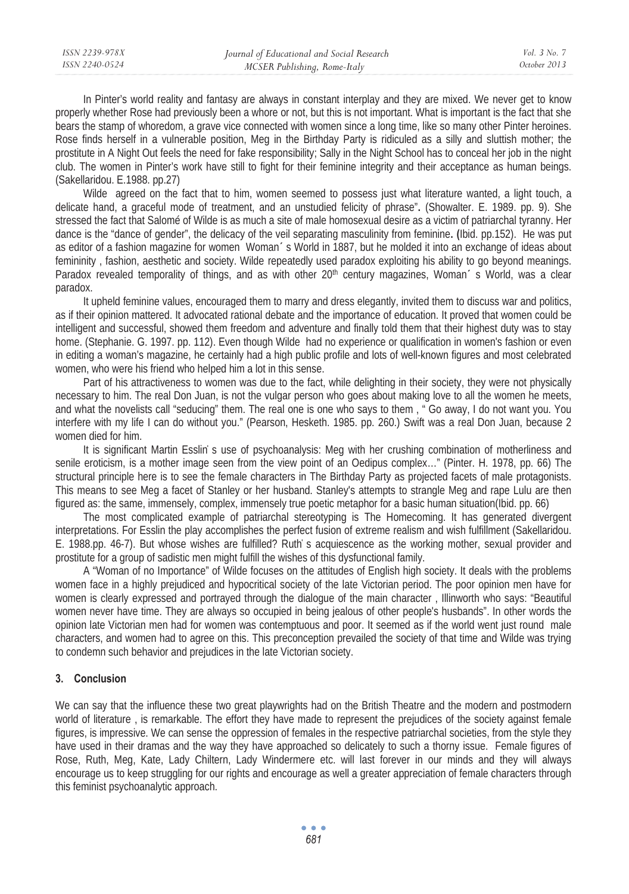| ISSN 2239-978X | Journal of Educational and Social Research | Vol. 3 No. 7 |
|----------------|--------------------------------------------|--------------|
| ISSN 2240-0524 | MCSER Publishing, Rome-Italy               | October 2013 |
|                |                                            |              |

In Pinter's world reality and fantasy are always in constant interplay and they are mixed. We never get to know properly whether Rose had previously been a whore or not, but this is not important. What is important is the fact that she bears the stamp of whoredom, a grave vice connected with women since a long time, like so many other Pinter heroines. Rose finds herself in a vulnerable position, Meg in the Birthday Party is ridiculed as a silly and sluttish mother; the prostitute in A Night Out feels the need for fake responsibility; Sally in the Night School has to conceal her job in the night club. The women in Pinter's work have still to fight for their feminine integrity and their acceptance as human beings. (Sakellaridou. E.1988. pp.27)

Wilde agreed on the fact that to him, women seemed to possess just what literature wanted, a light touch, a delicate hand, a graceful mode of treatment, and an unstudied felicity of phrase"**.** (Showalter. E. 1989. pp. 9). She stressed the fact that Salomé of Wilde is as much a site of male homosexual desire as a victim of patriarchal tyranny. Her dance is the "dance of gender", the delicacy of the veil separating masculinity from feminine**. (**Ibid. pp.152). He was put as editor of a fashion magazine for women Woman´s World in 1887, but he molded it into an exchange of ideas about femininity , fashion, aesthetic and society. Wilde repeatedly used paradox exploiting his ability to go beyond meanings. Paradox revealed temporality of things, and as with other 20<sup>th</sup> century magazines, Woman's World, was a clear paradox.

It upheld feminine values, encouraged them to marry and dress elegantly, invited them to discuss war and politics, as if their opinion mattered. It advocated rational debate and the importance of education. It proved that women could be intelligent and successful, showed them freedom and adventure and finally told them that their highest duty was to stay home. (Stephanie. G. 1997. pp. 112). Even though Wilde had no experience or qualification in women's fashion or even in editing a woman's magazine, he certainly had a high public profile and lots of well-known figures and most celebrated women, who were his friend who helped him a lot in this sense.

Part of his attractiveness to women was due to the fact, while delighting in their society, they were not physically necessary to him. The real Don Juan, is not the vulgar person who goes about making love to all the women he meets, and what the novelists call "seducing" them. The real one is one who says to them , " Go away, I do not want you. You interfere with my life I can do without you." (Pearson, Hesketh. 1985. pp. 260.) Swift was a real Don Juan, because 2 women died for him.

It is significant Martin Esslin s use of psychoanalysis: Meg with her crushing combination of motherliness and senile eroticism, is a mother image seen from the view point of an Oedipus complex…" (Pinter. H. 1978, pp. 66) The structural principle here is to see the female characters in The Birthday Party as projected facets of male protagonists. This means to see Meg a facet of Stanley or her husband. Stanley's attempts to strangle Meg and rape Lulu are then figured as: the same, immensely, complex, immensely true poetic metaphor for a basic human situation(Ibid. pp. 66)

The most complicated example of patriarchal stereotyping is The Homecoming. It has generated divergent interpretations. For Esslin the play accomplishes the perfect fusion of extreme realism and wish fulfillment (Sakellaridou. E. 1988.pp. 46-7). But whose wishes are fulfilled? Ruth s acquiescence as the working mother, sexual provider and prostitute for a group of sadistic men might fulfill the wishes of this dysfunctional family.

A "Woman of no Importance" of Wilde focuses on the attitudes of English high society. It deals with the problems women face in a highly prejudiced and hypocritical society of the late Victorian period. The poor opinion men have for women is clearly expressed and portrayed through the dialogue of the main character , Illinworth who says: "Beautiful women never have time. They are always so occupied in being jealous of other people's husbands". In other words the opinion late Victorian men had for women was contemptuous and poor. It seemed as if the world went just round male characters, and women had to agree on this. This preconception prevailed the society of that time and Wilde was trying to condemn such behavior and prejudices in the late Victorian society.

## **3. Conclusion**

We can say that the influence these two great playwrights had on the British Theatre and the modern and postmodern world of literature , is remarkable. The effort they have made to represent the prejudices of the society against female figures, is impressive. We can sense the oppression of females in the respective patriarchal societies, from the style they have used in their dramas and the way they have approached so delicately to such a thorny issue. Female figures of Rose, Ruth, Meg, Kate, Lady Chiltern, Lady Windermere etc. will last forever in our minds and they will always encourage us to keep struggling for our rights and encourage as well a greater appreciation of female characters through this feminist psychoanalytic approach.